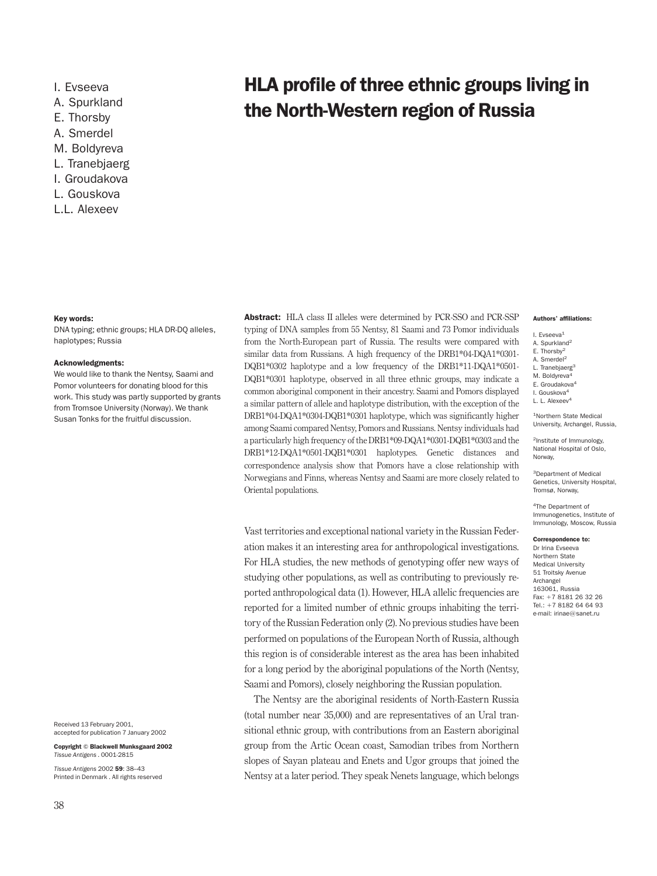A. Spurkland A. Smerdel M. Boldyreva L. Tranebjaerg I. Groudakova L. Gouskova L.L. Alexeev

# Key words:

DNA typing; ethnic groups; HLA DR-DQ alleles, haplotypes; Russia

#### Acknowledgments:

We would like to thank the Nentsy, Saami and Pomor volunteers for donating blood for this work. This study was partly supported by grants from Tromsoe University (Norway). We thank Susan Tonks for the fruitful discussion.

Received 13 February 2001, accepted for publication 7 January 2002

Copyright © Blackwell Munksgaard 2002 *Tissue Antigens .* 0001-2815

*Tissue Antigens* 2002 59: 38–43 Printed in Denmark . All rights reserved Abstract: HLA class II alleles were determined by PCR-SSO and PCR-SSP typing of DNA samples from 55 Nentsy, 81 Saami and 73 Pomor individuals from the North-European part of Russia. The results were compared with similar data from Russians. A high frequency of the DRB1\*04-DQA1\*0301- DQB1\*0302 haplotype and a low frequency of the DRB1\*11-DQA1\*0501- DQB1\*0301 haplotype, observed in all three ethnic groups, may indicate a common aboriginal component in their ancestry. Saami and Pomors displayed a similar pattern of allele and haplotype distribution, with the exception of the DRB1\*04-DQA1\*0304-DQB1\*0301 haplotype, which was significantly higher among Saami compared Nentsy, Pomors and Russians. Nentsy individuals had a particularly high frequency of the DRB1\*09-DQA1\*0301-DQB1\*0303 and the DRB1\*12-DQA1\*0501-DQB1\*0301 haplotypes. Genetic distances and correspondence analysis show that Pomors have a close relationship with Norwegians and Finns, whereas Nentsy and Saami are more closely related to Oriental populations.

I. Evseeva **HLA profile of three ethnic groups living in**  $E_{\rm E. Theory}$  the North-Western region of Russia

#### Authors' affiliations:

- I. Evseeva<sup>1</sup>
- A. Spurkland<sup>2</sup>
- E. Thorsby2 A. Smerdel<sup>2</sup>
- L. Tranebjaerg<sup>3</sup>
- M. Boldvreva
- E. Groudakova4
- I. Gouskova4

L. L. Alexeev<sup>4</sup>

1Northern State Medical University, Archangel, Russia,

2Institute of Immunology, National Hospital of Oslo, Norway,

3Department of Medical Genetics, University Hospital, Tromsø, Norway,

4The Department of Immunogenetics, Institute of Immunology, Moscow, Russia

#### Correspondence to:

Dr Irina Evseeva Northern State Medical University 51 Troitsky Avenue Archangel 163061, Russia Fax: +7 8181 26 32 26 Tel.:  $+7$  8182 64 64 93 e-mail: irinae@sanet.ru

Vast territories and exceptional national variety in the Russian Federation makes it an interesting area for anthropological investigations. For HLA studies, the new methods of genotyping offer new ways of studying other populations, as well as contributing to previously reported anthropological data (1). However, HLA allelic frequencies are reported for a limited number of ethnic groups inhabiting the territory of the Russian Federation only (2). No previous studies have been performed on populations of the European North of Russia, although this region is of considerable interest as the area has been inhabited for a long period by the aboriginal populations of the North (Nentsy, Saami and Pomors), closely neighboring the Russian population.

The Nentsy are the aboriginal residents of North-Eastern Russia (total number near 35,000) and are representatives of an Ural transitional ethnic group, with contributions from an Eastern aboriginal group from the Artic Ocean coast, Samodian tribes from Northern slopes of Sayan plateau and Enets and Ugor groups that joined the Nentsy at a later period. They speak Nenets language, which belongs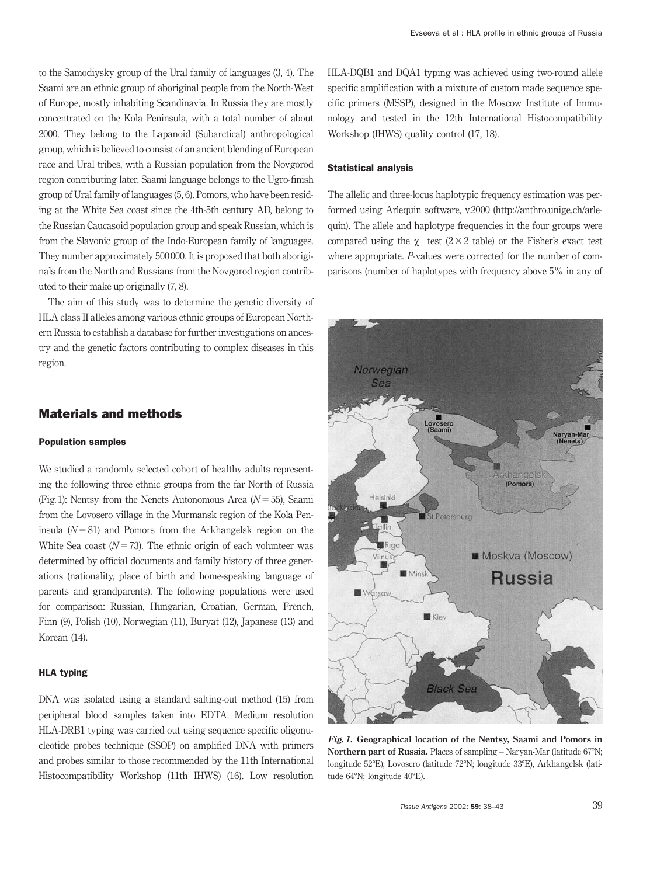to the Samodiysky group of the Ural family of languages (3, 4). The Saami are an ethnic group of aboriginal people from the North-West of Europe, mostly inhabiting Scandinavia. In Russia they are mostly concentrated on the Kola Peninsula, with a total number of about 2000. They belong to the Lapanoid (Subarctical) anthropological group, which is believed to consist of an ancient blending of European race and Ural tribes, with a Russian population from the Novgorod region contributing later. Saami language belongs to the Ugro-finish group of Ural family of languages (5, 6). Pomors, who have been residing at the White Sea coast since the 4th-5th century AD, belong to the Russian Caucasoid population group and speak Russian, which is from the Slavonic group of the Indo-European family of languages. They number approximately 500 000. It is proposed that both aboriginals from the North and Russians from the Novgorod region contributed to their make up originally (7, 8).

The aim of this study was to determine the genetic diversity of HLA class II alleles among various ethnic groups of European Northern Russia to establish a database for further investigations on ancestry and the genetic factors contributing to complex diseases in this region.

### Materials and methods

### Population samples

We studied a randomly selected cohort of healthy adults representing the following three ethnic groups from the far North of Russia (Fig. 1): Nentsy from the Nenets Autonomous Area  $(N=55)$ , Saami from the Lovosero village in the Murmansk region of the Kola Peninsula  $(N=81)$  and Pomors from the Arkhangelsk region on the White Sea coast  $(N=73)$ . The ethnic origin of each volunteer was determined by official documents and family history of three generations (nationality, place of birth and home-speaking language of parents and grandparents). The following populations were used for comparison: Russian, Hungarian, Croatian, German, French, Finn (9), Polish (10), Norwegian (11), Buryat (12), Japanese (13) and Korean (14).

### HLA typing

DNA was isolated using a standard salting-out method (15) from peripheral blood samples taken into EDTA. Medium resolution HLA-DRB1 typing was carried out using sequence specific oligonucleotide probes technique (SSOP) on amplified DNA with primers and probes similar to those recommended by the 11th International Histocompatibility Workshop (11th IHWS) (16). Low resolution

HLA-DQB1 and DQA1 typing was achieved using two-round allele specific amplification with a mixture of custom made sequence specific primers (MSSP), designed in the Moscow Institute of Immunology and tested in the 12th International Histocompatibility Workshop (IHWS) quality control (17, 18).

#### Statistical analysis

The allelic and three-locus haplotypic frequency estimation was performed using Arlequin software, v.2000 (http://anthro.unige.ch/arlequin). The allele and haplotype frequencies in the four groups were compared using the  $\gamma$  test (2 × 2 table) or the Fisher's exact test where appropriate. *P*-values were corrected for the number of comparisons (number of haplotypes with frequency above 5% in any of



*Fig.1.* **Geographical location of the Nentsy, Saami and Pomors in** Northern part of Russia. Places of sampling – Naryan-Mar (latitude 67°N; longitude 52°E), Lovosero (latitude 72°N; longitude 33°E), Arkhangelsk (latitude 64°N; longitude 40°E).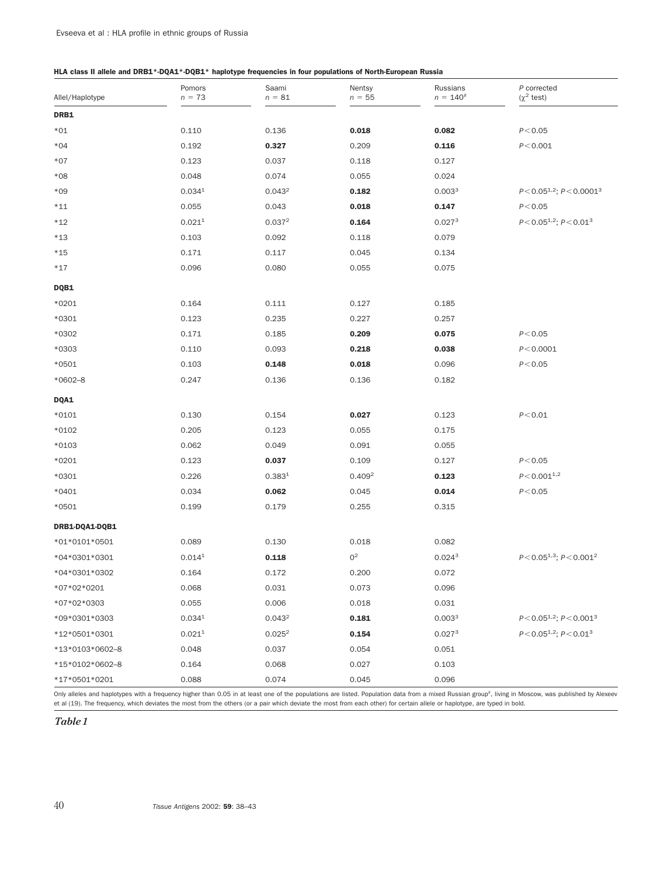# HLA class II allele and DRB1\*-DQA1\*-DQB1\* haplotype frequencies in four populations of North-European Russia

| Allel/Haplotype | Pomors<br>$n = 73$ | Saami<br>$n = 81$  | Nentsy<br>$n = 55$ | Russians<br>$n = 140^{#}$ | P corrected<br>$(\chi^2 \text{ test})$ |
|-----------------|--------------------|--------------------|--------------------|---------------------------|----------------------------------------|
| DRB1            |                    |                    |                    |                           |                                        |
| $*01$           | 0.110              | 0.136              | 0.018              | 0.082                     | P < 0.05                               |
| $*04$           | 0.192              | 0.327              | 0.209              | 0.116                     | P < 0.001                              |
| $*07$           | 0.123              | 0.037              | 0.118              | 0.127                     |                                        |
| $*08$           | 0.048              | 0.074              | 0.055              | 0.024                     |                                        |
| $*09$           | 0.034 <sup>1</sup> | 0.043 <sup>2</sup> | 0.182              | 0.003 <sup>3</sup>        | $P < 0.05^{1,2}$ ; $P < 0.0001^3$      |
| $*11$           | 0.055              | 0.043              | 0.018              | 0.147                     | P < 0.05                               |
| $*12$           | 0.021 <sup>1</sup> | 0.037 <sup>2</sup> | 0.164              | 0.027 <sup>3</sup>        | $P < 0.05^{1.2}$ ; $P < 0.01^3$        |
| $*13$           | 0.103              | 0.092              | 0.118              | 0.079                     |                                        |
| $*15$           | 0.171              | 0.117              | 0.045              | 0.134                     |                                        |
| $*17$           | 0.096              | 0.080              | 0.055              | 0.075                     |                                        |
| DQB1            |                    |                    |                    |                           |                                        |
| $*0201$         | 0.164              | 0.111              | 0.127              | 0.185                     |                                        |
| $*0301$         | 0.123              | 0.235              | 0.227              | 0.257                     |                                        |
| *0302           | 0.171              | 0.185              | 0.209              | 0.075                     | P < 0.05                               |
| *0303           | 0.110              | 0.093              | 0.218              | 0.038                     | P < 0.0001                             |
| $*0501$         | 0.103              | 0.148              | 0.018              | 0.096                     | P < 0.05                               |
| $*0602 - 8$     | 0.247              | 0.136              | 0.136              | 0.182                     |                                        |
| <b>DQA1</b>     |                    |                    |                    |                           |                                        |
| $*0101$         | 0.130              | 0.154              | 0.027              | 0.123                     | P < 0.01                               |
| $*0102$         | 0.205              | 0.123              | 0.055              | 0.175                     |                                        |
| $*0103$         | 0.062              | 0.049              | 0.091              | 0.055                     |                                        |
| $*0201$         | 0.123              | 0.037              | 0.109              | 0.127                     | P < 0.05                               |
| $*0301$         | 0.226              | 0.383 <sup>1</sup> | 0.409 <sup>2</sup> | 0.123                     | $P < 0.001^{1,2}$                      |
| $*0401$         | 0.034              | 0.062              | 0.045              | 0.014                     | P < 0.05                               |
| $*0501$         | 0.199              | 0.179              | 0.255              | 0.315                     |                                        |
| DRB1-DQA1-DQB1  |                    |                    |                    |                           |                                        |
| *01*0101*0501   | 0.089              | 0.130              | 0.018              | 0.082                     |                                        |
| *04*0301*0301   | 0.014 <sup>1</sup> | 0.118              | 0 <sup>2</sup>     | 0.024 <sup>3</sup>        | $P < 0.05^{1,3}$ ; $P < 0.001^2$       |
| *04*0301*0302   | 0.164              | 0.172              | 0.200              | 0.072                     |                                        |
| *07*02*0201     | 0.068              | 0.031              | 0.073              | 0.096                     |                                        |
| *07*02*0303     | 0.055              | 0.006              | 0.018              | 0.031                     |                                        |
| *09*0301*0303   | 0.034 <sup>1</sup> | 0.043 <sup>2</sup> | 0.181              | 0.003 <sup>3</sup>        | $P < 0.05^{1,2}$ ; $P < 0.001^3$       |
| *12*0501*0301   | 0.021 <sup>1</sup> | 0.025 <sup>2</sup> | 0.154              | 0.027 <sup>3</sup>        | $P < 0.05^{1,2}$ ; $P < 0.01^3$        |
| *13*0103*0602-8 | 0.048              | 0.037              | 0.054              | 0.051                     |                                        |
| *15*0102*0602-8 | 0.164              | 0.068              | 0.027              | 0.103                     |                                        |
| *17*0501*0201   | 0.088              | 0.074              | 0.045              | 0.096                     |                                        |

Only alleles and haplotypes with a frequency higher than 0.05 in at least one of the populations are listed. Population data from a mixed Russian group<sup>#</sup>, living in Moscow, was published by Alexeev et al (19). The frequency, which deviates the most from the others (or a pair which deviate the most from each other) for certain allele or haplotype, are typed in bold.

*Table1*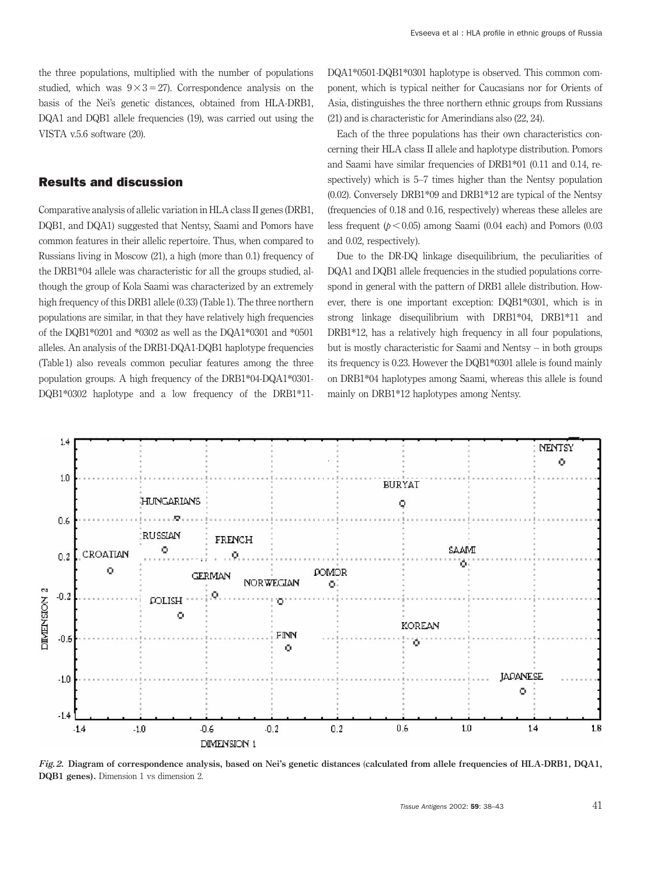the three populations, multiplied with the number of populations studied, which was  $9 \times 3 = 27$ ). Correspondence analysis on the basis of the Nei's genetic distances, obtained from HLA-DRB1, DQA1 and DQB1 allele frequencies (19), was carried out using the VISTA v.5.6 software (20).

# Results and discussion

Comparative analysis of allelic variation in HLA class II genes (DRB1, DQB1, and DQA1) suggested that Nentsy, Saami and Pomors have common features in their allelic repertoire. Thus, when compared to Russians living in Moscow (21), a high (more than 0.1) frequency of the DRB1\*04 allele was characteristic for all the groups studied, although the group of Kola Saami was characterized by an extremely high frequency of this DRB1 allele (0.33) (Table 1). The three northern populations are similar, in that they have relatively high frequencies of the DQB1\*0201 and \*0302 as well as the DQA1\*0301 and \*0501 alleles. An analysis of the DRB1-DQA1-DQB1 haplotype frequencies (Table 1) also reveals common peculiar features among the three population groups. A high frequency of the DRB1\*04-DQA1\*0301- DQB1\*0302 haplotype and a low frequency of the DRB1\*11DQA1\*0501-DQB1\*0301 haplotype is observed. This common component, which is typical neither for Caucasians nor for Orients of Asia, distinguishes the three northern ethnic groups from Russians (21) and is characteristic for Amerindians also (22, 24).

Each of the three populations has their own characteristics concerning their HLA class II allele and haplotype distribution. Pomors and Saami have similar frequencies of DRB1\*01 (0.11 and 0.14, respectively) which is 5–7 times higher than the Nentsy population (0.02). Conversely DRB1\*09 and DRB1\*12 are typical of the Nentsy (frequencies of 0.18 and 0.16, respectively) whereas these alleles are less frequent  $(p < 0.05)$  among Saami (0.04 each) and Pomors (0.03 and 0.02, respectively).

Due to the DR-DQ linkage disequilibrium, the peculiarities of DQA1 and DQB1 allele frequencies in the studied populations correspond in general with the pattern of DRB1 allele distribution. However, there is one important exception: DQB1\*0301, which is in strong linkage disequilibrium with DRB1\*04, DRB1\*11 and DRB1\*12, has a relatively high frequency in all four populations. but is mostly characteristic for Saami and Nentsy – in both groups its frequency is 0.23. However the DQB1\*0301 allele is found mainly on DRB1\*04 haplotypes among Saami, whereas this allele is found mainly on DRB1\*12 haplotypes among Nentsy.



*Fig.2.* **Diagram of correspondence analysis, based on Nei's genetic distances** (**calculated from allele frequencies of HLA-DRB1, DQA1, DQB1 genes).** Dimension 1 vs dimension 2.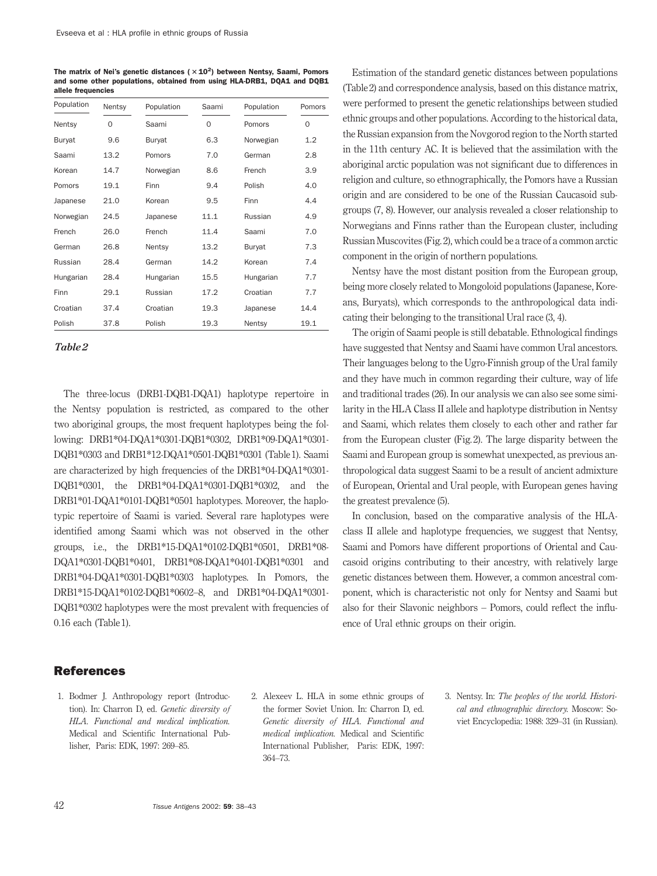The matrix of Nei's genetic distances ( $\times$ 10<sup>2</sup>) between Nentsy, Saami, Pomors and some other populations, obtained from using HLA-DRB1, DQA1 and DQB1 allele frequencies

| Population | Nentsy   | Population | Saami    | Population | Pomors   |
|------------|----------|------------|----------|------------|----------|
| Nentsy     | $\Omega$ | Saami      | $\Omega$ | Pomors     | $\Omega$ |
| Buryat     | 9.6      | Buryat     | 6.3      | Norwegian  | 1.2      |
| Saami      | 13.2     | Pomors     | 7.0      | German     | 2.8      |
| Korean     | 14.7     | Norwegian  | 8.6      | French     | 3.9      |
| Pomors     | 19.1     | Finn       | 9.4      | Polish     | 4.0      |
| Japanese   | 21.0     | Korean     | 9.5      | Finn       | 4.4      |
| Norwegian  | 24.5     | Japanese   | 11.1     | Russian    | 4.9      |
| French     | 26.0     | French     | 11.4     | Saami      | 7.0      |
| German     | 26.8     | Nentsy     | 13.2     | Buryat     | 7.3      |
| Russian    | 28.4     | German     | 14.2     | Korean     | 7.4      |
| Hungarian  | 28.4     | Hungarian  | 15.5     | Hungarian  | 7.7      |
| Finn       | 29.1     | Russian    | 17.2     | Croatian   | 7.7      |
| Croatian   | 37.4     | Croatian   | 19.3     | Japanese   | 14.4     |
| Polish     | 37.8     | Polish     | 19.3     | Nentsy     | 19.1     |

#### *Table2*

The three-locus (DRB1-DQB1-DQA1) haplotype repertoire in the Nentsy population is restricted, as compared to the other two aboriginal groups, the most frequent haplotypes being the following: DRB1\*04-DQA1\*0301-DQB1\*0302, DRB1\*09-DQA1\*0301- DQB1\*0303 and DRB1\*12-DQA1\*0501-DQB1\*0301 (Table 1). Saami are characterized by high frequencies of the DRB1\*04-DQA1\*0301- DQB1\*0301, the DRB1\*04-DQA1\*0301-DQB1\*0302, and the DRB1\*01-DQA1\*0101-DQB1\*0501 haplotypes. Moreover, the haplotypic repertoire of Saami is varied. Several rare haplotypes were identified among Saami which was not observed in the other groups, i.e., the DRB1\*15-DQA1\*0102-DQB1\*0501, DRB1\*08- DQA1\*0301-DQB1\*0401, DRB1\*08-DQA1\*0401-DQB1\*0301 and DRB1\*04-DQA1\*0301-DQB1\*0303 haplotypes. In Pomors, the DRB1\*15-DQA1\*0102-DQB1\*0602–8, and DRB1\*04-DQA1\*0301- DQB1\*0302 haplotypes were the most prevalent with frequencies of 0.16 each (Table 1).

## References

- 
- 1. Bodmer J. Anthropology report (Introduc- 2. Alexeev L. HLA in some ethnic groups of 3. Nentsy. In: *The peoples of the world. Histori-*Medical and Scientific International Pub- *medical implication.* Medical and Scientific lisher, Paris: EDK, 1997: 269–85. International Publisher, Paris: EDK, 1997: 364–73.

Estimation of the standard genetic distances between populations (Table 2) and correspondence analysis, based on this distance matrix, were performed to present the genetic relationships between studied ethnic groups and other populations. According to the historical data, the Russian expansion from the Novgorod region to the North started in the 11th century AC. It is believed that the assimilation with the aboriginal arctic population was not significant due to differences in religion and culture, so ethnographically, the Pomors have a Russian origin and are considered to be one of the Russian Caucasoid subgroups (7, 8). However, our analysis revealed a closer relationship to Norwegians and Finns rather than the European cluster, including Russian Muscovites (Fig. 2), which could be a trace of a common arctic component in the origin of northern populations.

Nentsy have the most distant position from the European group, being more closely related to Mongoloid populations (Japanese, Koreans, Buryats), which corresponds to the anthropological data indicating their belonging to the transitional Ural race (3, 4).

The origin of Saami people is still debatable. Ethnological findings have suggested that Nentsy and Saami have common Ural ancestors. Their languages belong to the Ugro-Finnish group of the Ural family and they have much in common regarding their culture, way of life and traditional trades (26). In our analysis we can also see some similarity in the HLA Class II allele and haplotype distribution in Nentsy and Saami, which relates them closely to each other and rather far from the European cluster (Fig. 2). The large disparity between the Saami and European group is somewhat unexpected, as previous anthropological data suggest Saami to be a result of ancient admixture of European, Oriental and Ural people, with European genes having the greatest prevalence (5).

In conclusion, based on the comparative analysis of the HLAclass II allele and haplotype frequencies, we suggest that Nentsy, Saami and Pomors have different proportions of Oriental and Caucasoid origins contributing to their ancestry, with relatively large genetic distances between them. However, a common ancestral component, which is characteristic not only for Nentsy and Saami but also for their Slavonic neighbors – Pomors, could reflect the influence of Ural ethnic groups on their origin.

tion). In: Charron D, ed. *Genetic diversity of* the former Soviet Union. In: Charron D, ed. *cal and ethnographic directory*. Moscow: So-*HLA. Functional and medical implication. Genetic diversity of HLA. Functional and* viet Encyclopedia: 1988: 329–31 (in Russian).